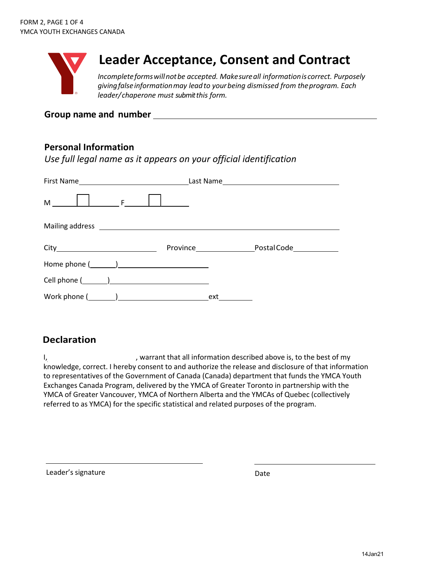

# **Leader Acceptance, Consent and Contract**

*Incompleteformswillnotbe accepted. Makesureall informationis correct. Purposely givingfalseinformationmay leadto yourbeing dismissed from theprogram. Each leader/chaperone must submit this form.* 

### **Group name and number**

# **Personal Information**

*Use full legal name as it appears on your official identification*

| $M$ $\vert$ $\vert$ $\vert$ $\vert$ $\vert$ $\vert$ |     |  |
|-----------------------------------------------------|-----|--|
|                                                     |     |  |
|                                                     |     |  |
|                                                     |     |  |
|                                                     |     |  |
|                                                     | ext |  |

# **Declaration**

I, state of the contract that all information described above is, to the best of my knowledge, correct. I hereby consent to and authorize the release and disclosure of that information to representatives of the Government of Canada (Canada) department that funds the YMCA Youth Exchanges Canada Program, delivered by the YMCA of Greater Toronto in partnership with the YMCA of Greater Vancouver, YMCA of Northern Alberta and the YMCAs of Quebec (collectively referred to as YMCA) for the specific statistical and related purposes of the program.

Leader's signature Date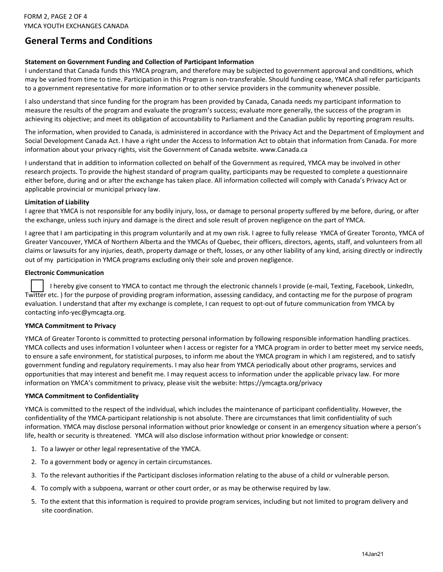# **General Terms and Conditions**

#### **Statement on Government Funding and Collection of Participant Information**

I understand that Canada funds this YMCA program, and therefore may be subjected to government approval and conditions, which may be varied from time to time. Participation in this Program is non-transferable. Should funding cease, YMCA shall refer participants to a government representative for more information or to other service providers in the community whenever possible.

I also understand that since funding for the program has been provided by Canada, Canada needs my participant information to measure the results of the program and evaluate the program's success; evaluate more generally, the success of the program in achieving its objective; and meet its obligation of accountability to Parliament and the Canadian public by reporting program results.

The information, when provided to Canada, is administered in accordance with the Privacy Act and the Department of Employment and Social Development Canada Act. I have a right under the Access to Information Act to obtain that information from Canada. For more information about your privacy rights, visit the Government of Canada website. www.Canada.ca

I understand that in addition to information collected on behalf of the Government as required, YMCA may be involved in other research projects. To provide the highest standard of program quality, participants may be requested to complete a questionnaire either before, during and or after the exchange has taken place. All information collected will comply with Canada's Privacy Act or applicable provincial or municipal privacy law.

#### **Limitation of Liability**

I agree that YMCA is not responsible for any bodily injury, loss, or damage to personal property suffered by me before, during, or after the exchange, unless such injury and damage is the direct and sole result of proven negligence on the part of YMCA.

I agree that I am participating in this program voluntarily and at my own risk. I agree to fully release YMCA of Greater Toronto, YMCA of Greater Vancouver, YMCA of Northern Alberta and the YMCAs of Quebec, their officers, directors, agents, staff, and volunteers from all claims or lawsuits for any injuries, death, property damage or theft, losses, or any other liability of any kind, arising directly or indirectly out of my participation in YMCA programs excluding only their sole and proven negligence.

#### **Electronic Communication**

I hereby give consent to YMCA to contact me through the electronic channels I provide (e-mail, Texting, Facebook, LinkedIn, Twitter etc. ) for the purpose of providing program information, assessing candidacy, and contacting me for the purpose of program evaluation. I understand that after my exchange is complete, I can request to opt-out of future communication from YMCA by contacting info-yec@ymcagta.org.

#### **YMCA Commitment to Privacy**

YMCA of Greater Toronto is committed to protecting personal information by following responsible information handling practices. YMCA collects and uses information I volunteer when I access or register for a YMCA program in order to better meet my service needs, to ensure a safe environment, for statistical purposes, to inform me about the YMCA program in which I am registered, and to satisfy government funding and regulatory requirements. I may also hear from YMCA periodically about other programs, services and opportunities that may interest and benefit me. I may request access to information under the applicable privacy law. For more information on YMCA's commitment to privacy, please visit the website: https://ymcagta.org/privacy

#### **YMCA Commitment to Confidentiality**

YMCA is committed to the respect of the individual, which includes the maintenance of participant confidentiality. However, the confidentiality of the YMCA-participant relationship is not absolute. There are circumstances that limit confidentiality of such information. YMCA may disclose personal information without prior knowledge or consent in an emergency situation where a person's life, health or security is threatened. YMCA will also disclose information without prior knowledge or consent:

- 1. To a lawyer or other legal representative of the YMCA.
- 2. To a government body or agency in certain circumstances.
- 3. To the relevant authorities if the Participant discloses information relating to the abuse of a child or vulnerable person.
- 4. To comply with a subpoena, warrant or other court order, or as may be otherwise required by law.
- 5. To the extent that this information is required to provide program services, including but not limited to program delivery and site coordination.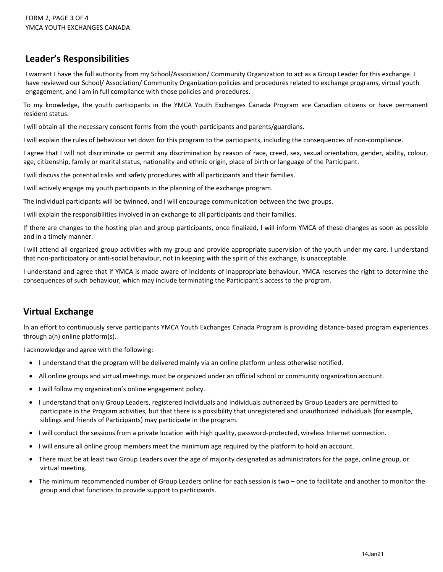# **Leader's Responsibilities**

I warrant I have the full authority from my School/Association/ Community Organization to act as a Group Leader for this exchange. I have reviewed our School/ Association/ Community Organization policies and procedures related to exchange programs, virtual youth engagement, and I am in full compliance with those policies and procedures.

To my knowledge, the youth participants in the YMCA Youth Exchanges Canada Program are Canadian citizens or have permanent resident status.

I will obtain all the necessary consent forms from the youth participants and parents/guardians.

I will explain the rules of behaviour set down for this program to the participants, including the consequences of non-compliance.

I agree that I will not discriminate or permit any discrimination by reason of race, creed, sex, sexual orientation, gender, ability, colour, age, citizenship, family or marital status, nationality and ethnic origin, place of birth or language of the Participant.

I will discuss the potential risks and safety procedures with all participants and their families.

I will actively engage my youth participants in the planning of the exchange program.

The individual participants will be twinned, and I will encourage communication between the two groups.

I will explain the responsibilities involved in an exchange to all participants and their families.

If there are changes to the hosting plan and group participants, once finalized, I will inform YMCA of these changes as soon as possible and in a timely manner.

I will attend all organized group activities with my group and provide appropriate supervision of the youth under my care. I understand that non-participatory or anti-social behaviour, not in keeping with the spirit of this exchange, is unacceptable.

I understand and agree that if YMCA is made aware of incidents of inappropriate behaviour, YMCA reserves the right to determine the consequences of such behaviour, which may include terminating the Participant's access to the program.

# **Virtual Exchange**

In an effort to continuously serve participants YMCA Youth Exchanges Canada Program is providing distance-based program experiences through a(n) online platform(s).

I acknowledge and agree with the following:

- I understand that the program will be delivered mainly via an online platform unless otherwise notified.
- All online groups and virtual meetings must be organized under an official school or community organization account.
- I will follow my organization's online engagement policy.
- I understand that only Group Leaders, registered individuals and individuals authorized by Group Leaders are permitted to participate in the Program activities, but that there is a possibility that unregistered and unauthorized individuals (for example, siblings and friends of Participants) may participate in the program.
- I will conduct the sessions from a private location with high quality, password-protected, wireless Internet connection.
- I will ensure all online group members meet the minimum age required by the platform to hold an account.
- There must be at least two Group Leaders over the age of majority designated as administrators for the page, online group, or virtual meeting.
- The minimum recommended number of Group Leaders online for each session is two one to facilitate and another to monitor the group and chat functions to provide support to participants.